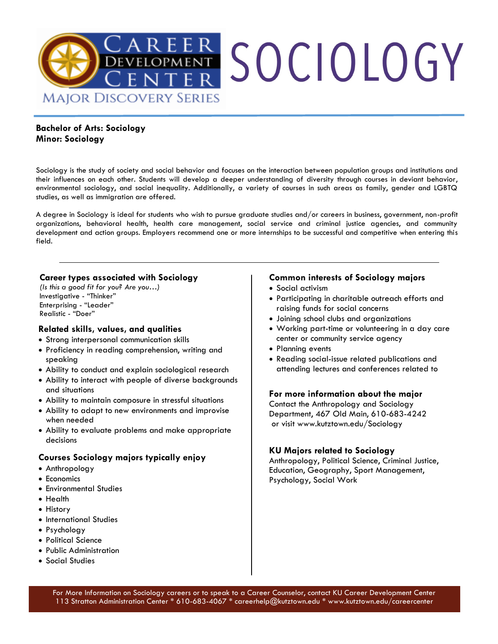

## **Bachelor of Arts: Sociology Minor: Sociology**

Sociology is the study of society and social behavior and focuses on the interaction between population groups and institutions and their influences on each other. Students will develop a deeper understanding of diversity through courses in deviant behavior, environmental sociology, and social inequality. Additionally, a variety of courses in such areas as family, gender and LGBTQ studies, as well as immigration are offered.

A degree in Sociology is ideal for students who wish to pursue graduate studies and/or careers in business, government, non-profit organizations, behavioral health, health care management, social service and criminal justice agencies, and community development and action groups. Employers recommend one or more internships to be successful and competitive when entering this field.

### **Career types associated with Sociology**

*(Is this a good fit for you? Are you…)*  Investigative - "Thinker" Enterprising - "Leader" Realistic - "Doer"

### **Related skills, values, and qualities**

- Strong interpersonal communication skills
- Proficiency in reading comprehension, writing and speaking
- Ability to conduct and explain sociological research
- Ability to interact with people of diverse backgrounds and situations
- Ability to maintain composure in stressful situations
- Ability to adapt to new environments and improvise when needed
- Ability to evaluate problems and make appropriate decisions

### **Courses Sociology majors typically enjoy**

- Anthropology
- Economics
- Environmental Studies
- Health
- History
- International Studies
- Psychology
- Political Science
- Public Administration
- Social Studies

#### **Common interests of Sociology majors**

- Social activism
- Participating in charitable outreach efforts and raising funds for social concerns
- Joining school clubs and organizations
- Working part-time or volunteering in a day care center or community service agency
- Planning events
- Reading social-issue related publications and attending lectures and conferences related to

#### **For more information about the major**

Contact the Anthropology and Sociology Department, 467 Old Main, 610-683-4242 or visit www.kutztown.edu/Sociology

### **KU Majors related to Sociology**

Anthropology, Political Science, Criminal Justice, Education, Geography, Sport Management, Psychology, Social Work

For More Information on Sociology careers or to speak to a Career Counselor, contact KU Career Development Center 113 Stratton Administration Center \* 610-683-4067 \* careerhelp@kutztown.edu \* www.kutztown.edu/careercenter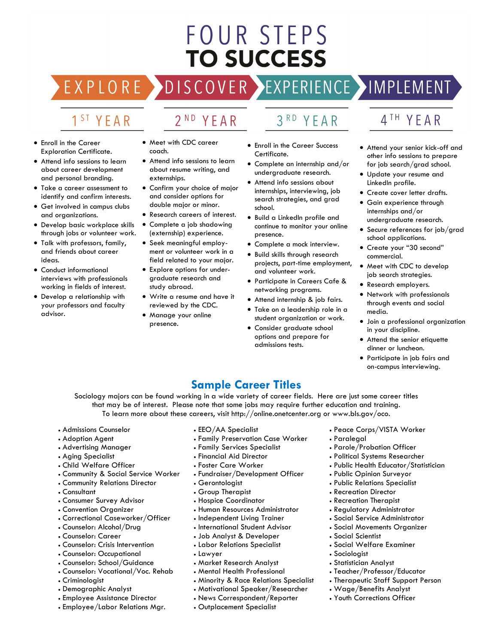# **FOUR STEPS TO SUCCESS**

# DISCOVER EXPERIENCE MOPLEMENT

2<sup>ND</sup> YEAR

# 1<sup>ST</sup> YEAR

EXPLORE >

- Enroll in the Career Exploration Certificate.
- Attend info sessions to learn about career development and personal branding.
- Take a career assessment to identify and confirm interests.
- Get involved in campus clubs and organizations.
- Develop basic workplace skills through jobs or volunteer work.
- Talk with professors, family, and friends about career ideas.
- Conduct informational interviews with professionals working in fields of interest.
- Develop a relationship with your professors and faculty advisor.
- Meet with CDC career coach.
- Attend info sessions to learn about resume writing, and externships.
- Confirm your choice of major and consider options for double major or minor.
- Research careers of interest.
- Complete a job shadowing (externship) experience.
- Seek meaningful employment or volunteer work in a field related to your major.
- Explore options for undergraduate research and study abroad.
- Write a resume and have it reviewed by the CDC.
- Manage your online presence.

# 3RD YEAR

- Enroll in the Career Success Certificate.
- Complete an internship and/or undergraduate research.
- Attend info sessions about internships, interviewing, job search strategies, and grad school.
- Build a LinkedIn profile and continue to monitor your online presence.
- Complete a mock interview.
- Build skills through research projects, part-time employment, and volunteer work.
- Participate in Careers Cafe & networking programs.
- Attend internship & job fairs.
- Take on a leadership role in a student organization or work.
- Consider graduate school options and prepare for admissions tests.

# 4TH YEAR

- Attend your senior kick-off and other info sessions to prepare for job search/grad school.
- Update your resume and LinkedIn profile.
- Create cover letter drafts.
- Gain experience through internships and/or undergraduate research.
- Secure references for job/grad school applications.
- Create your "30 second" commercial.
- Meet with CDC to develop job search strategies.
- Research employers.
- Network with professionals through events and social media.
- Join a professional organization in your discipline.
- Attend the senior etiquette dinner or luncheon.
- Participate in job fairs and on-campus interviewing.

# **Sample Career Titles**

Sociology majors can be found working in a wide variety of career fields. Here are just some career titles that may be of interest. Please note that some jobs may require further education and training. To learn more about these careers, visit http://online.onetcenter.org or www.bls.gov/oco.

- Admissions Counselor
- Adoption Agent
- Advertising Manager
- Aging Specialist
- Child Welfare Officer
- Community & Social Service Worker
- Community Relations Director
- Consultant
- Consumer Survey Advisor
- Convention Organizer
- Correctional Caseworker/Officer
- Counselor: Alcohol/Drug
- Counselor: Career
- Counselor: Crisis Intervention
- Counselor: Occupational
- Counselor: School/Guidance
- Counselor: Vocational/Voc. Rehab
- Criminologist
- Demographic Analyst
- Employee Assistance Director
- Employee/Labor Relations Mgr.
- EEO/AA Specialist
- Family Preservation Case Worker
- Family Services Specialist
- Financial Aid Director
- Foster Care Worker
- Fundraiser/Development Officer
- Gerontologist
- Group Therapist
- Hospice Coordinator
- Human Resources Administrator
- Independent Living Trainer
- International Student Advisor
- Job Analyst & Developer
- Labor Relations Specialist
- Lawyer
- Market Research Analyst
- Mental Health Professional
- Minority & Race Relations Specialist
- Motivational Speaker/Researcher
- News Correspondent/Reporter
- Outplacement Specialist
- Peace Corps/VISTA Worker • Paralegal
- Parole/Probation Officer
- Political Systems Researcher
- Public Health Educator/Statistician
- Public Opinion Surveyor
- Public Relations Specialist
- Recreation Director
- Recreation Therapist
- Regulatory Administrator
- Social Service Administrator
- Social Movements Organizer

• Teacher/Professor/Educator • Therapeutic Staff Support Person

• Wage/Benefits Analyst • Youth Corrections Officer

• Social Scientist • Social Welfare Examiner

• Sociologist • Statistician Analyst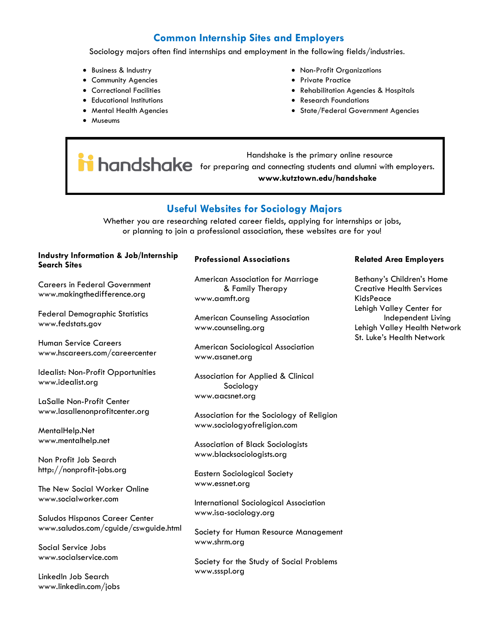# **Common Internship Sites and Employers**

Sociology majors often find internships and employment in the following fields/industries.

- Business & Industry
- Community Agencies
- Correctional Facilities
- Educational Institutions
- Mental Health Agencies
- Museums
- Non-Profit Organizations
- Private Practice
- Rehabilitation Agencies & Hospitals
- Research Foundations
- State/Federal Government Agencies

 Handshake is the primary online resource **for and shares are primary online resource www.kutztown.edu/handshake**

# **Useful Websites for Sociology Majors**

Whether you are researching related career fields, applying for internships or jobs, or planning to join a professional association, these websites are for you!

#### **Industry Information & Job/Internship Search Sites**

Careers in Federal Government www.makingthedifference.org

Federal Demographic Statistics www.fedstats.gov

Human Service Careers www.hscareers.com/careercenter

Idealist: Non-Profit Opportunities www.idealist.org

LaSalle Non-Profit Center www.lasallenonprofitcenter.org

MentalHelp.Net www.mentalhelp.net

Non Profit Job Search http://nonprofit-jobs.org

The New Social Worker Online www.socialworker.com

Saludos Hispanos Career Center www.saludos.com/cguide/cswguide.html

Social Service Jobs www.socialservice.com

LinkedIn Job Search www.linkedin.com/jobs

#### **Professional Associations**

American Association for Marriage & Family Therapy www.aamft.org

American Counseling Association www.counseling.org

American Sociological Association www.asanet.org

Association for Applied & Clinical Sociology www.aacsnet.org

Association for the Sociology of Religion www.sociologyofreligion.com

Association of Black Sociologists www.blacksociologists.org

Eastern Sociological Society www.essnet.org

International Sociological Association www.isa-sociology.org

Society for Human Resource Management www.shrm.org

Society for the Study of Social Problems www.ssspl.org

#### **Related Area Employers**

Bethany's Children's Home Creative Health Services KidsPeace Lehigh Valley Center for Independent Living Lehigh Valley Health Network St. Luke's Health Network